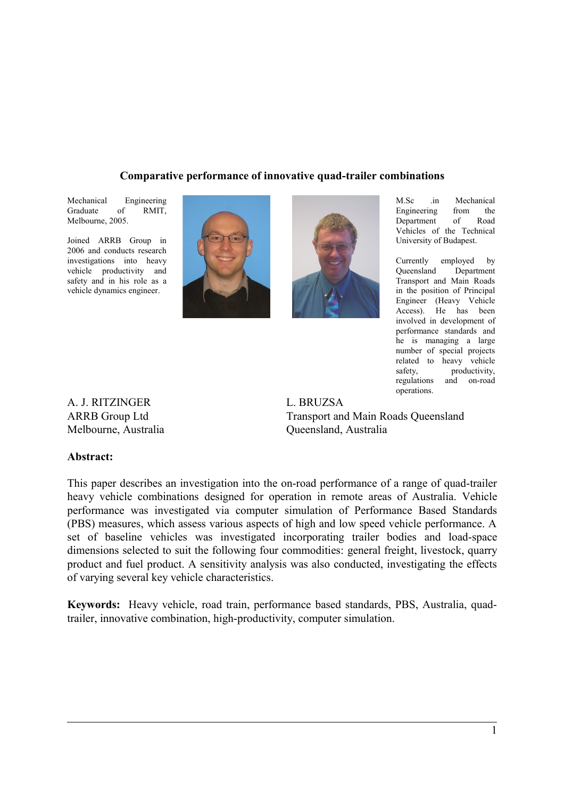#### **Comparative performance of innovative quad-trailer combinations**

Mechanical Engineering Graduate of RMIT, Melbourne, 2005.

Joined ARRB Group in 2006 and conducts research investigations into heavy vehicle productivity and safety and in his role as a vehicle dynamics engineer.





M.Sc .in Mechanical Engineering from the Department of Road Vehicles of the Technical University of Budapest.

Currently employed by Queensland Department Transport and Main Roads in the position of Principal Engineer (Heavy Vehicle Access). He has been involved in development of performance standards and he is managing a large number of special projects related to heavy vehicle safety, productivity, regulations and on-road operations.

A. J. RITZINGER ARRB Group Ltd Melbourne, Australia L. BRUZSA Transport and Main Roads Queensland Queensland, Australia

#### **Abstract:**

This paper describes an investigation into the on-road performance of a range of quad-trailer heavy vehicle combinations designed for operation in remote areas of Australia. Vehicle performance was investigated via computer simulation of Performance Based Standards (PBS) measures, which assess various aspects of high and low speed vehicle performance. A set of baseline vehicles was investigated incorporating trailer bodies and load-space dimensions selected to suit the following four commodities: general freight, livestock, quarry product and fuel product. A sensitivity analysis was also conducted, investigating the effects of varying several key vehicle characteristics.

**Keywords:** Heavy vehicle, road train, performance based standards, PBS, Australia, quadtrailer, innovative combination, high-productivity, computer simulation.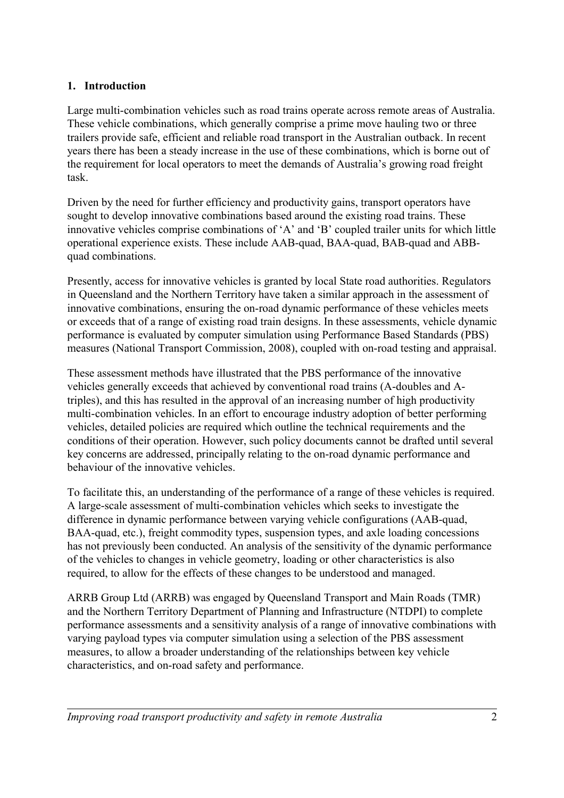## **1. Introduction**

Large multi-combination vehicles such as road trains operate across remote areas of Australia. These vehicle combinations, which generally comprise a prime move hauling two or three trailers provide safe, efficient and reliable road transport in the Australian outback. In recent years there has been a steady increase in the use of these combinations, which is borne out of the requirement for local operators to meet the demands of Australia's growing road freight task.

Driven by the need for further efficiency and productivity gains, transport operators have sought to develop innovative combinations based around the existing road trains. These innovative vehicles comprise combinations of 'A' and 'B' coupled trailer units for which little operational experience exists. These include AAB-quad, BAA-quad, BAB-quad and ABBquad combinations.

Presently, access for innovative vehicles is granted by local State road authorities. Regulators in Queensland and the Northern Territory have taken a similar approach in the assessment of innovative combinations, ensuring the on-road dynamic performance of these vehicles meets or exceeds that of a range of existing road train designs. In these assessments, vehicle dynamic performance is evaluated by computer simulation using Performance Based Standards (PBS) measures (National Transport Commission, 2008), coupled with on-road testing and appraisal.

These assessment methods have illustrated that the PBS performance of the innovative vehicles generally exceeds that achieved by conventional road trains (A-doubles and Atriples), and this has resulted in the approval of an increasing number of high productivity multi-combination vehicles. In an effort to encourage industry adoption of better performing vehicles, detailed policies are required which outline the technical requirements and the conditions of their operation. However, such policy documents cannot be drafted until several key concerns are addressed, principally relating to the on-road dynamic performance and behaviour of the innovative vehicles.

To facilitate this, an understanding of the performance of a range of these vehicles is required. A large-scale assessment of multi-combination vehicles which seeks to investigate the difference in dynamic performance between varying vehicle configurations (AAB-quad, BAA-quad, etc.), freight commodity types, suspension types, and axle loading concessions has not previously been conducted. An analysis of the sensitivity of the dynamic performance of the vehicles to changes in vehicle geometry, loading or other characteristics is also required, to allow for the effects of these changes to be understood and managed.

ARRB Group Ltd (ARRB) was engaged by Queensland Transport and Main Roads (TMR) and the Northern Territory Department of Planning and Infrastructure (NTDPI) to complete performance assessments and a sensitivity analysis of a range of innovative combinations with varying payload types via computer simulation using a selection of the PBS assessment measures, to allow a broader understanding of the relationships between key vehicle characteristics, and on-road safety and performance.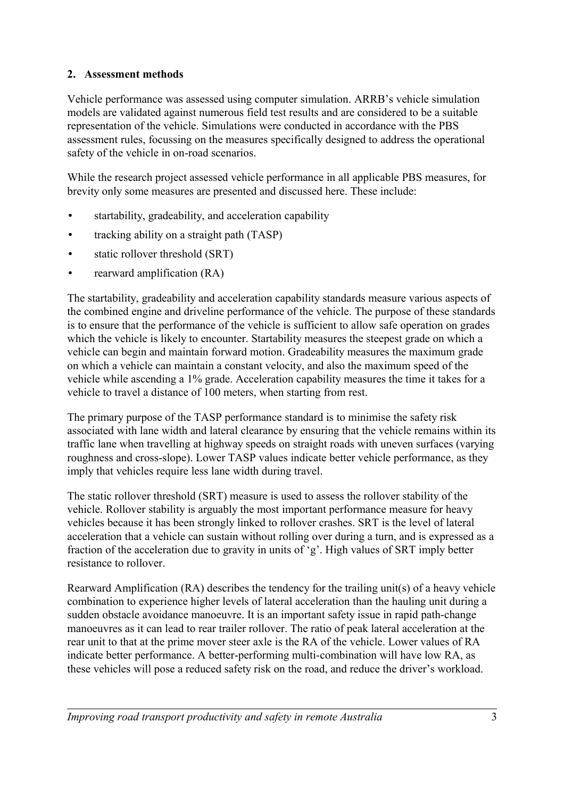#### **2. Assessment methods**

Vehicle performance was assessed using computer simulation. ARRB's vehicle simulation models are validated against numerous field test results and are considered to be a suitable representation of the vehicle. Simulations were conducted in accordance with the PBS assessment rules, focussing on the measures specifically designed to address the operational safety of the vehicle in on-road scenarios.

While the research project assessed vehicle performance in all applicable PBS measures, for brevity only some measures are presented and discussed here. These include:

- startability, gradeability, and acceleration capability
- tracking ability on a straight path (TASP)
- static rollover threshold (SRT)
- rearward amplification (RA)

The startability, gradeability and acceleration capability standards measure various aspects of the combined engine and driveline performance of the vehicle. The purpose of these standards is to ensure that the performance of the vehicle is sufficient to allow safe operation on grades which the vehicle is likely to encounter. Startability measures the steepest grade on which a vehicle can begin and maintain forward motion. Gradeability measures the maximum grade on which a vehicle can maintain a constant velocity, and also the maximum speed of the vehicle while ascending a 1% grade. Acceleration capability measures the time it takes for a vehicle to travel a distance of 100 meters, when starting from rest.

The primary purpose of the TASP performance standard is to minimise the safety risk associated with lane width and lateral clearance by ensuring that the vehicle remains within its traffic lane when travelling at highway speeds on straight roads with uneven surfaces (varying roughness and cross-slope). Lower TASP values indicate better vehicle performance, as they imply that vehicles require less lane width during travel.

The static rollover threshold (SRT) measure is used to assess the rollover stability of the vehicle. Rollover stability is arguably the most important performance measure for heavy vehicles because it has been strongly linked to rollover crashes. SRT is the level of lateral acceleration that a vehicle can sustain without rolling over during a turn, and is expressed as a fraction of the acceleration due to gravity in units of 'g'. High values of SRT imply better resistance to rollover.

Rearward Amplification (RA) describes the tendency for the trailing unit(s) of a heavy vehicle combination to experience higher levels of lateral acceleration than the hauling unit during a sudden obstacle avoidance manoeuvre. It is an important safety issue in rapid path-change manoeuvres as it can lead to rear trailer rollover. The ratio of peak lateral acceleration at the rear unit to that at the prime mover steer axle is the RA of the vehicle. Lower values of RA indicate better performance. A better-performing multi-combination will have low RA, as these vehicles will pose a reduced safety risk on the road, and reduce the driver's workload.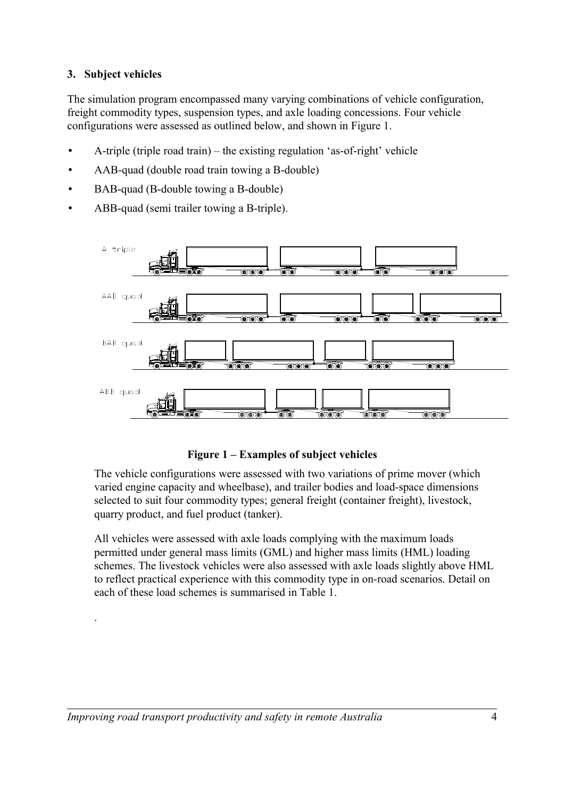#### **3. Subject vehicles**

.

The simulation program encompassed many varying combinations of vehicle configuration, freight commodity types, suspension types, and axle loading concessions. Four vehicle configurations were assessed as outlined below, and shown in [Figure 1.](#page-3-0)

- A-triple (triple road train) the existing regulation 'as-of-right' vehicle
- AAB-quad (double road train towing a B-double)
- BAB-quad (B-double towing a B-double)
- ABB-quad (semi trailer towing a B-triple).



#### <span id="page-3-0"></span>**Figure 1 – Examples of subject vehicles**

The vehicle configurations were assessed with two variations of prime mover (which varied engine capacity and wheelbase), and trailer bodies and load-space dimensions selected to suit four commodity types; general freight (container freight), livestock, quarry product, and fuel product (tanker).

All vehicles were assessed with axle loads complying with the maximum loads permitted under general mass limits (GML) and higher mass limits (HML) loading schemes. The livestock vehicles were also assessed with axle loads slightly above HML to reflect practical experience with this commodity type in on-road scenarios. Detail on each of these load schemes is summarised in [Table 1.](#page-4-0)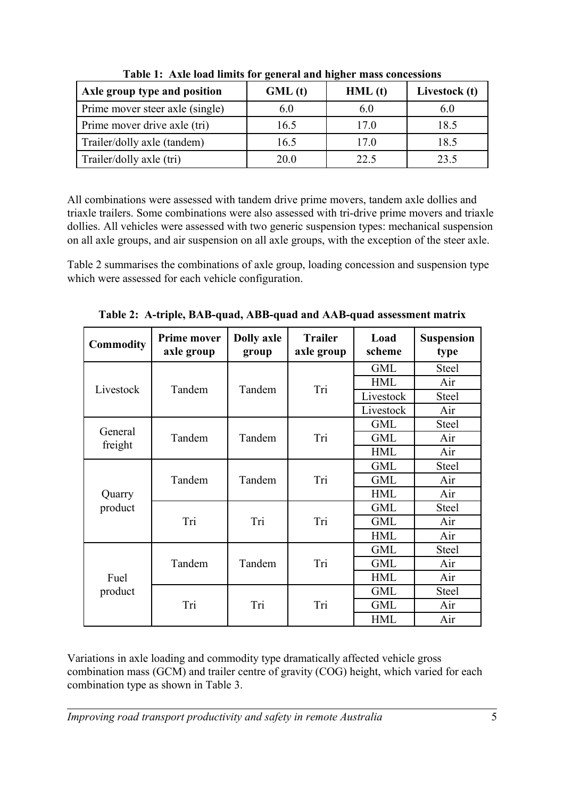| Axle group type and position    | GML(t) | HML(t) | Livestock (t) |
|---------------------------------|--------|--------|---------------|
| Prime mover steer axle (single) | 6.0    | 6.0    |               |
| Prime mover drive axle (tri)    | 16.5   | 17.0   | 18.5          |
| Trailer/dolly axle (tandem)     | 16.5   | 17.0   | 18.5          |
| Trailer/dolly axle (tri)        | 20.0   | 22.5   | 23.5          |

<span id="page-4-0"></span>**Table 1: Axle load limits for general and higher mass concessions**

All combinations were assessed with tandem drive prime movers, tandem axle dollies and triaxle trailers. Some combinations were also assessed with tri-drive prime movers and triaxle dollies. All vehicles were assessed with two generic suspension types: mechanical suspension on all axle groups, and air suspension on all axle groups, with the exception of the steer axle.

[Table 2](#page-4-1) summarises the combinations of axle group, loading concession and suspension type which were assessed for each vehicle configuration.

| Commodity       | <b>Prime mover</b><br>axle group | <b>Dolly axle</b><br>group | <b>Trailer</b><br>axle group | Load<br>scheme | <b>Suspension</b><br>type |
|-----------------|----------------------------------|----------------------------|------------------------------|----------------|---------------------------|
|                 | Tandem                           | Tandem                     | Tri                          | <b>GML</b>     | <b>Steel</b>              |
| Livestock       |                                  |                            |                              | <b>HML</b>     | Air                       |
|                 |                                  |                            |                              | Livestock      | <b>Steel</b>              |
|                 |                                  |                            |                              | Livestock      | Air                       |
| General         |                                  | Tandem                     |                              | <b>GML</b>     | <b>Steel</b>              |
|                 | Tandem                           |                            | Tri                          | <b>GML</b>     | Air                       |
| freight         |                                  |                            |                              | <b>HML</b>     | Air                       |
|                 | Tandem                           | Tandem                     | Tri                          | <b>GML</b>     | <b>Steel</b>              |
|                 |                                  |                            |                              | <b>GML</b>     | Air                       |
| Quarry          |                                  |                            |                              | <b>HML</b>     | Air                       |
| product         | Tri                              | Tri                        | Tri                          | <b>GML</b>     | <b>Steel</b>              |
|                 |                                  |                            |                              | <b>GML</b>     | Air                       |
|                 |                                  |                            |                              | <b>HML</b>     | Air                       |
| Fuel<br>product | Tandem                           | Tandem                     | Tri                          | <b>GML</b>     | <b>Steel</b>              |
|                 |                                  |                            |                              | <b>GML</b>     | Air                       |
|                 |                                  |                            |                              | <b>HML</b>     | Air                       |
|                 | Tri                              | Tri                        | Tri                          | <b>GML</b>     | <b>Steel</b>              |
|                 |                                  |                            |                              | <b>GML</b>     | Air                       |
|                 |                                  |                            |                              | <b>HML</b>     | Air                       |

<span id="page-4-1"></span>**Table 2: A-triple, BAB-quad, ABB-quad and AAB-quad assessment matrix**

Variations in axle loading and commodity type dramatically affected vehicle gross combination mass (GCM) and trailer centre of gravity (COG) height, which varied for each combination type as shown in [Table 3.](#page-5-0)

*Improving road transport productivity and safety in remote Australia* 5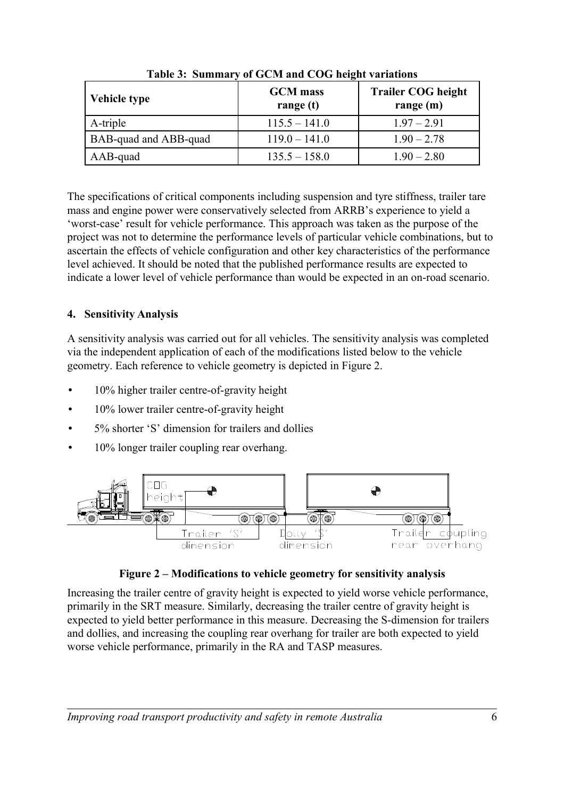| <b>Vehicle type</b>   | <b>GCM</b> mass<br>range $(t)$ | <b>Trailer COG height</b><br>range $(m)$ |  |
|-----------------------|--------------------------------|------------------------------------------|--|
| A-triple              | $115.5 - 141.0$                | $1.97 - 2.91$                            |  |
| BAB-quad and ABB-quad | $119.0 - 141.0$                | $1.90 - 2.78$                            |  |
| AAB-quad              | $135.5 - 158.0$                | $1.90 - 2.80$                            |  |

<span id="page-5-0"></span>**Table 3: Summary of GCM and COG height variations**

The specifications of critical components including suspension and tyre stiffness, trailer tare mass and engine power were conservatively selected from ARRB's experience to yield a 'worst-case' result for vehicle performance. This approach was taken as the purpose of the project was not to determine the performance levels of particular vehicle combinations, but to ascertain the effects of vehicle configuration and other key characteristics of the performance level achieved. It should be noted that the published performance results are expected to indicate a lower level of vehicle performance than would be expected in an on-road scenario.

# **4. Sensitivity Analysis**

A sensitivity analysis was carried out for all vehicles. The sensitivity analysis was completed via the independent application of each of the modifications listed below to the vehicle geometry. Each reference to vehicle geometry is depicted in [Figure 2.](#page-5-1)

- 10% higher trailer centre-of-gravity height
- 10% lower trailer centre-of-gravity height
- 5% shorter 'S' dimension for trailers and dollies
- 10% longer trailer coupling rear overhang.



<span id="page-5-1"></span>

Increasing the trailer centre of gravity height is expected to yield worse vehicle performance, primarily in the SRT measure. Similarly, decreasing the trailer centre of gravity height is expected to yield better performance in this measure. Decreasing the S-dimension for trailers and dollies, and increasing the coupling rear overhang for trailer are both expected to yield worse vehicle performance, primarily in the RA and TASP measures.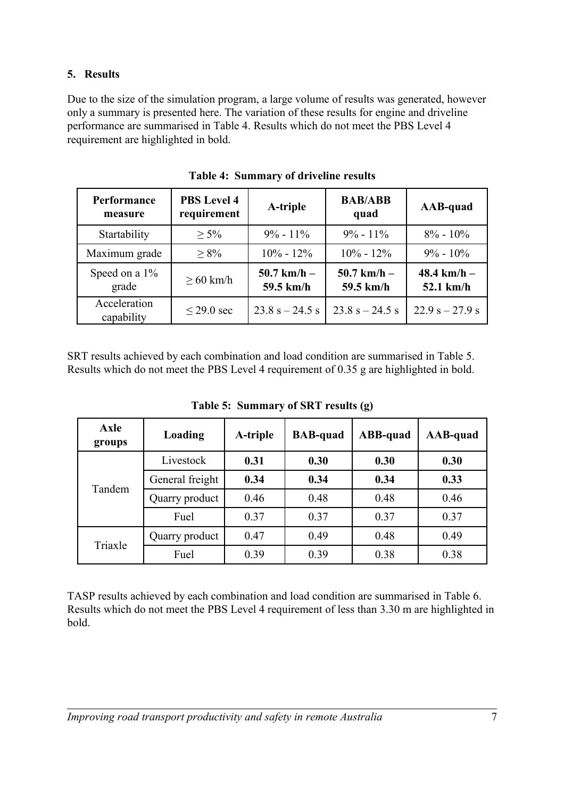## **5. Results**

Due to the size of the simulation program, a large volume of results was generated, however only a summary is presented here. The variation of these results for engine and driveline performance are summarised in [Table 4.](#page-6-1) Results which do not meet the PBS Level 4 requirement are highlighted in bold.

| Performance<br>measure     | <b>PBS Level 4</b><br>requirement | A-triple                   | <b>BAB/ABB</b><br>quad     | AAB-quad                     |
|----------------------------|-----------------------------------|----------------------------|----------------------------|------------------------------|
| Startability               | $> 5\%$                           | $9\% - 11\%$               | $9\% - 11\%$               | $8\% - 10\%$                 |
| Maximum grade              | $> 8\%$                           | $10\% - 12\%$              | $10\% - 12\%$              | $9\% - 10\%$                 |
| Speed on a 1%<br>grade     | $\geq 60$ km/h                    | $50.7$ km/h –<br>59.5 km/h | $50.7$ km/h –<br>59.5 km/h | 48.4 km/h $-$<br>$52.1$ km/h |
| Acceleration<br>capability | $\leq$ 29.0 sec                   | $23.8$ s $-24.5$ s         | $23.8$ s $-24.5$ s         | $22.9 s - 27.9 s$            |

<span id="page-6-1"></span>**Table 4: Summary of driveline results**

SRT results achieved by each combination and load condition are summarised in [Table 5.](#page-6-0) Results which do not meet the PBS Level 4 requirement of 0.35 g are highlighted in bold.

| <b>Axle</b><br>groups | Loading         | A-triple | <b>BAB-quad</b> | ABB-quad | AAB-quad |
|-----------------------|-----------------|----------|-----------------|----------|----------|
| Tandem                | Livestock       | 0.31     | 0.30            | 0.30     | 0.30     |
|                       | General freight | 0.34     | 0.34            | 0.34     | 0.33     |
|                       | Quarry product  | 0.46     | 0.48            | 0.48     | 0.46     |
|                       | Fuel            | 0.37     | 0.37            | 0.37     | 0.37     |
| Triaxle               | Quarry product  | 0.47     | 0.49            | 0.48     | 0.49     |
|                       | Fuel            | 0.39     | 0.39            | 0.38     | 0.38     |

<span id="page-6-0"></span>**Table 5: Summary of SRT results (g)**

TASP results achieved by each combination and load condition are summarised in [Table 6.](#page-7-0) Results which do not meet the PBS Level 4 requirement of less than 3.30 m are highlighted in bold.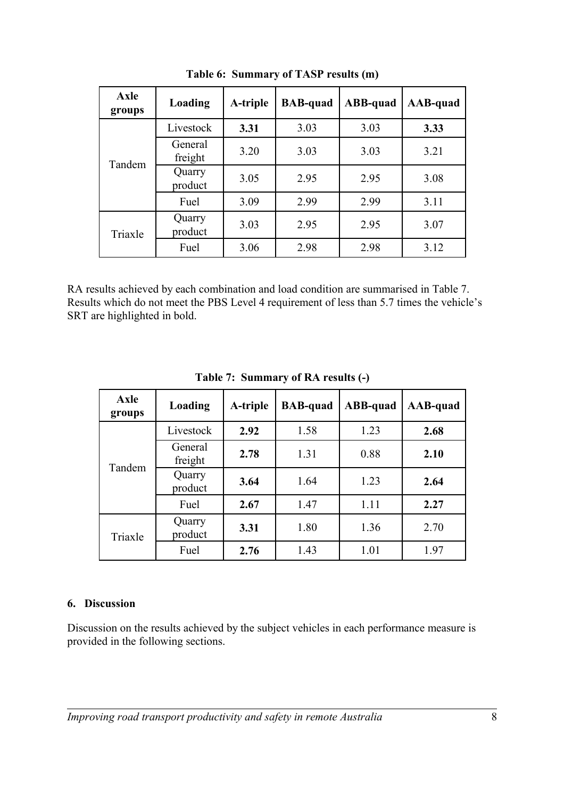| <b>Axle</b><br>groups | Loading            | A-triple | <b>BAB-quad</b> | ABB-quad | AAB-quad |
|-----------------------|--------------------|----------|-----------------|----------|----------|
| Tandem                | Livestock          | 3.31     | 3.03            | 3.03     | 3.33     |
|                       | General<br>freight | 3.20     | 3.03            | 3.03     | 3.21     |
|                       | Quarry<br>product  | 3.05     | 2.95            | 2.95     | 3.08     |
|                       | Fuel               | 3.09     | 2.99            | 2.99     | 3.11     |
| Triaxle               | Quarry<br>product  | 3.03     | 2.95            | 2.95     | 3.07     |
|                       | Fuel               | 3.06     | 2.98            | 2.98     | 3.12     |

<span id="page-7-0"></span>**Table 6: Summary of TASP results (m)**

RA results achieved by each combination and load condition are summarised in [Table 7.](#page-7-1) Results which do not meet the PBS Level 4 requirement of less than 5.7 times the vehicle's SRT are highlighted in bold.

| <b>Axle</b><br>groups | Loading            | A-triple | <b>BAB-quad</b> | ABB-quad | AAB-quad |
|-----------------------|--------------------|----------|-----------------|----------|----------|
| Tandem                | Livestock          | 2.92     | 1.58            | 1.23     | 2.68     |
|                       | General<br>freight | 2.78     | 1.31            | 0.88     | 2.10     |
|                       | Quarry<br>product  | 3.64     | 1.64            | 1.23     | 2.64     |
|                       | Fuel               | 2.67     | 1.47            | 1.11     | 2.27     |
| Triaxle               | Quarry<br>product  | 3.31     | 1.80            | 1.36     | 2.70     |
|                       | Fuel               | 2.76     | 1.43            | 1.01     | 1.97     |

<span id="page-7-1"></span>**Table 7: Summary of RA results (-)**

## **6. Discussion**

Discussion on the results achieved by the subject vehicles in each performance measure is provided in the following sections.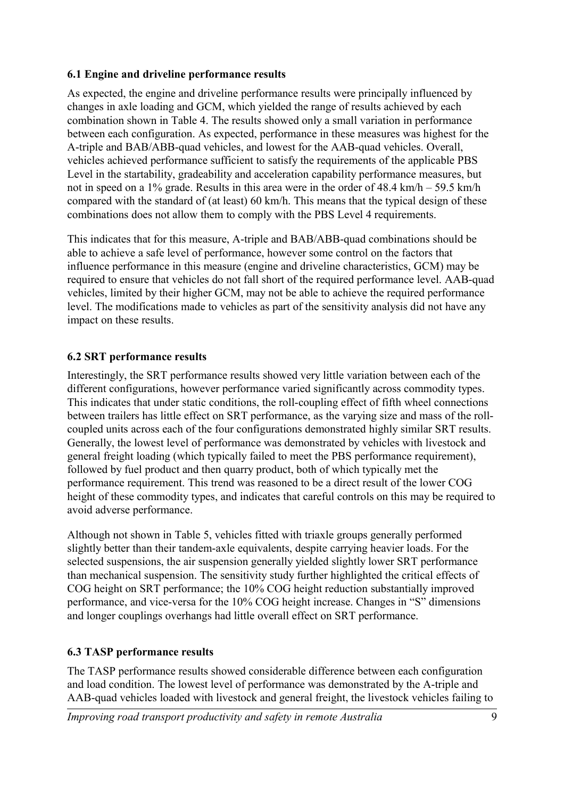#### **6.1 Engine and driveline performance results**

As expected, the engine and driveline performance results were principally influenced by changes in axle loading and GCM, which yielded the range of results achieved by each combination shown in [Table 4.](#page-6-1) The results showed only a small variation in performance between each configuration. As expected, performance in these measures was highest for the A-triple and BAB/ABB-quad vehicles, and lowest for the AAB-quad vehicles. Overall, vehicles achieved performance sufficient to satisfy the requirements of the applicable PBS Level in the startability, gradeability and acceleration capability performance measures, but not in speed on a 1% grade. Results in this area were in the order of  $48.4 \text{ km/h} - 59.5 \text{ km/h}$ compared with the standard of (at least) 60 km/h. This means that the typical design of these combinations does not allow them to comply with the PBS Level 4 requirements.

This indicates that for this measure, A-triple and BAB/ABB-quad combinations should be able to achieve a safe level of performance, however some control on the factors that influence performance in this measure (engine and driveline characteristics, GCM) may be required to ensure that vehicles do not fall short of the required performance level. AAB-quad vehicles, limited by their higher GCM, may not be able to achieve the required performance level. The modifications made to vehicles as part of the sensitivity analysis did not have any impact on these results.

#### **6.2 SRT performance results**

Interestingly, the SRT performance results showed very little variation between each of the different configurations, however performance varied significantly across commodity types. This indicates that under static conditions, the roll-coupling effect of fifth wheel connections between trailers has little effect on SRT performance, as the varying size and mass of the rollcoupled units across each of the four configurations demonstrated highly similar SRT results. Generally, the lowest level of performance was demonstrated by vehicles with livestock and general freight loading (which typically failed to meet the PBS performance requirement), followed by fuel product and then quarry product, both of which typically met the performance requirement. This trend was reasoned to be a direct result of the lower COG height of these commodity types, and indicates that careful controls on this may be required to avoid adverse performance.

Although not shown in [Table 5,](#page-6-0) vehicles fitted with triaxle groups generally performed slightly better than their tandem-axle equivalents, despite carrying heavier loads. For the selected suspensions, the air suspension generally yielded slightly lower SRT performance than mechanical suspension. The sensitivity study further highlighted the critical effects of COG height on SRT performance; the 10% COG height reduction substantially improved performance, and vice-versa for the 10% COG height increase. Changes in "S" dimensions and longer couplings overhangs had little overall effect on SRT performance.

#### **6.3 TASP performance results**

The TASP performance results showed considerable difference between each configuration and load condition. The lowest level of performance was demonstrated by the A-triple and AAB-quad vehicles loaded with livestock and general freight, the livestock vehicles failing to

*Improving road transport productivity and safety in remote Australia* 9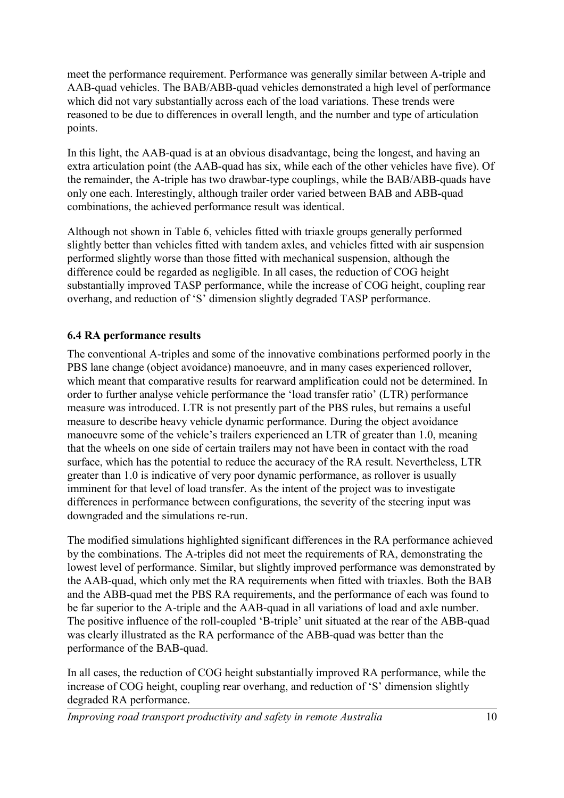meet the performance requirement. Performance was generally similar between A-triple and AAB-quad vehicles. The BAB/ABB-quad vehicles demonstrated a high level of performance which did not vary substantially across each of the load variations. These trends were reasoned to be due to differences in overall length, and the number and type of articulation points.

In this light, the AAB-quad is at an obvious disadvantage, being the longest, and having an extra articulation point (the AAB-quad has six, while each of the other vehicles have five). Of the remainder, the A-triple has two drawbar-type couplings, while the BAB/ABB-quads have only one each. Interestingly, although trailer order varied between BAB and ABB-quad combinations, the achieved performance result was identical.

Although not shown in [Table 6,](#page-7-0) vehicles fitted with triaxle groups generally performed slightly better than vehicles fitted with tandem axles, and vehicles fitted with air suspension performed slightly worse than those fitted with mechanical suspension, although the difference could be regarded as negligible. In all cases, the reduction of COG height substantially improved TASP performance, while the increase of COG height, coupling rear overhang, and reduction of 'S' dimension slightly degraded TASP performance.

# **6.4 RA performance results**

The conventional A-triples and some of the innovative combinations performed poorly in the PBS lane change (object avoidance) manoeuvre, and in many cases experienced rollover, which meant that comparative results for rearward amplification could not be determined. In order to further analyse vehicle performance the 'load transfer ratio' (LTR) performance measure was introduced. LTR is not presently part of the PBS rules, but remains a useful measure to describe heavy vehicle dynamic performance. During the object avoidance manoeuvre some of the vehicle's trailers experienced an LTR of greater than 1.0, meaning that the wheels on one side of certain trailers may not have been in contact with the road surface, which has the potential to reduce the accuracy of the RA result. Nevertheless, LTR greater than 1.0 is indicative of very poor dynamic performance, as rollover is usually imminent for that level of load transfer. As the intent of the project was to investigate differences in performance between configurations, the severity of the steering input was downgraded and the simulations re-run.

The modified simulations highlighted significant differences in the RA performance achieved by the combinations. The A-triples did not meet the requirements of RA, demonstrating the lowest level of performance. Similar, but slightly improved performance was demonstrated by the AAB-quad, which only met the RA requirements when fitted with triaxles. Both the BAB and the ABB-quad met the PBS RA requirements, and the performance of each was found to be far superior to the A-triple and the AAB-quad in all variations of load and axle number. The positive influence of the roll-coupled 'B-triple' unit situated at the rear of the ABB-quad was clearly illustrated as the RA performance of the ABB-quad was better than the performance of the BAB-quad.

In all cases, the reduction of COG height substantially improved RA performance, while the increase of COG height, coupling rear overhang, and reduction of 'S' dimension slightly degraded RA performance.

*Improving road transport productivity and safety in remote Australia* 10